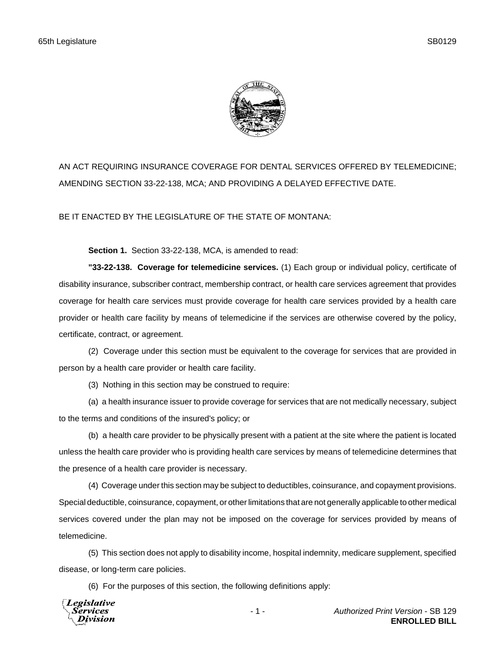

AN ACT REQUIRING INSURANCE COVERAGE FOR DENTAL SERVICES OFFERED BY TELEMEDICINE; AMENDING SECTION 33-22-138, MCA; AND PROVIDING A DELAYED EFFECTIVE DATE.

BE IT ENACTED BY THE LEGISLATURE OF THE STATE OF MONTANA:

**Section 1.** Section 33-22-138, MCA, is amended to read:

**"33-22-138. Coverage for telemedicine services.** (1) Each group or individual policy, certificate of disability insurance, subscriber contract, membership contract, or health care services agreement that provides coverage for health care services must provide coverage for health care services provided by a health care provider or health care facility by means of telemedicine if the services are otherwise covered by the policy, certificate, contract, or agreement.

(2) Coverage under this section must be equivalent to the coverage for services that are provided in person by a health care provider or health care facility.

(3) Nothing in this section may be construed to require:

(a) a health insurance issuer to provide coverage for services that are not medically necessary, subject to the terms and conditions of the insured's policy; or

(b) a health care provider to be physically present with a patient at the site where the patient is located unless the health care provider who is providing health care services by means of telemedicine determines that the presence of a health care provider is necessary.

(4) Coverage under this section may be subject to deductibles, coinsurance, and copayment provisions. Special deductible, coinsurance, copayment, or other limitations that are not generally applicable to other medical services covered under the plan may not be imposed on the coverage for services provided by means of telemedicine.

(5) This section does not apply to disability income, hospital indemnity, medicare supplement, specified disease, or long-term care policies.

(6) For the purposes of this section, the following definitions apply:



- 1 - *Authorized Print Version* - SB 129 **ENROLLED BILL**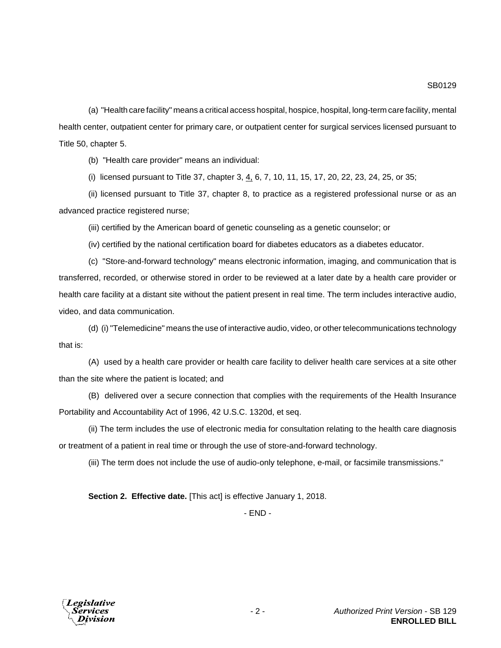(a) "Health care facility" means a critical access hospital, hospice, hospital, long-term care facility, mental health center, outpatient center for primary care, or outpatient center for surgical services licensed pursuant to Title 50, chapter 5.

(b) "Health care provider" means an individual:

(i) licensed pursuant to Title 37, chapter 3, 4, 6, 7, 10, 11, 15, 17, 20, 22, 23, 24, 25, or 35;

(ii) licensed pursuant to Title 37, chapter 8, to practice as a registered professional nurse or as an advanced practice registered nurse;

(iii) certified by the American board of genetic counseling as a genetic counselor; or

(iv) certified by the national certification board for diabetes educators as a diabetes educator.

(c) "Store-and-forward technology" means electronic information, imaging, and communication that is transferred, recorded, or otherwise stored in order to be reviewed at a later date by a health care provider or health care facility at a distant site without the patient present in real time. The term includes interactive audio, video, and data communication.

(d) (i) "Telemedicine" means the use of interactive audio, video, or other telecommunications technology that is:

(A) used by a health care provider or health care facility to deliver health care services at a site other than the site where the patient is located; and

(B) delivered over a secure connection that complies with the requirements of the Health Insurance Portability and Accountability Act of 1996, 42 U.S.C. 1320d, et seq.

(ii) The term includes the use of electronic media for consultation relating to the health care diagnosis or treatment of a patient in real time or through the use of store-and-forward technology.

(iii) The term does not include the use of audio-only telephone, e-mail, or facsimile transmissions."

**Section 2. Effective date.** [This act] is effective January 1, 2018.

- END -

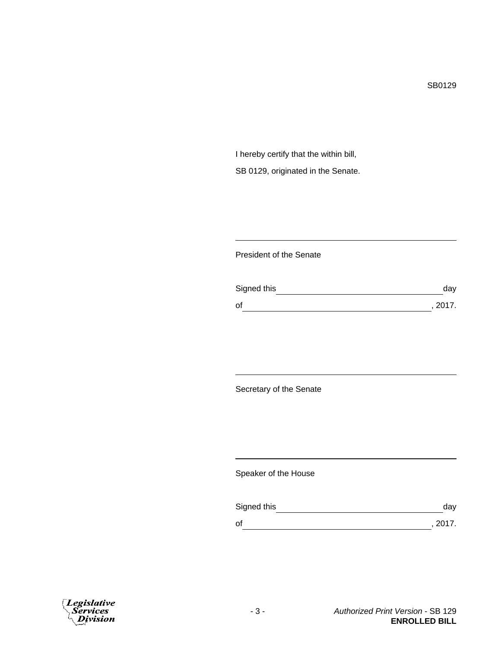I hereby certify that the within bill, SB 0129, originated in the Senate.

## President of the Senate

| Signed this | day     |
|-------------|---------|
| οf          | , 2017. |

Secretary of the Senate

Speaker of the House

| Signed this | dav     |
|-------------|---------|
| оf          | , 2017. |